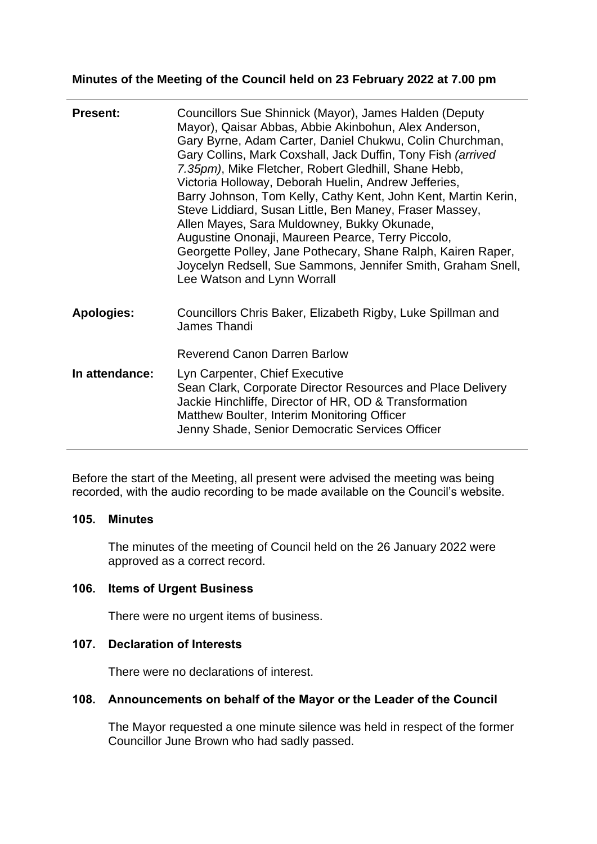# **Minutes of the Meeting of the Council held on 23 February 2022 at 7.00 pm**

| <b>Present:</b>   | Councillors Sue Shinnick (Mayor), James Halden (Deputy<br>Mayor), Qaisar Abbas, Abbie Akinbohun, Alex Anderson,<br>Gary Byrne, Adam Carter, Daniel Chukwu, Colin Churchman,<br>Gary Collins, Mark Coxshall, Jack Duffin, Tony Fish (arrived<br>7.35pm), Mike Fletcher, Robert Gledhill, Shane Hebb,<br>Victoria Holloway, Deborah Huelin, Andrew Jefferies,<br>Barry Johnson, Tom Kelly, Cathy Kent, John Kent, Martin Kerin,<br>Steve Liddiard, Susan Little, Ben Maney, Fraser Massey,<br>Allen Mayes, Sara Muldowney, Bukky Okunade,<br>Augustine Ononaji, Maureen Pearce, Terry Piccolo,<br>Georgette Polley, Jane Pothecary, Shane Ralph, Kairen Raper,<br>Joycelyn Redsell, Sue Sammons, Jennifer Smith, Graham Snell,<br>Lee Watson and Lynn Worrall |
|-------------------|-------------------------------------------------------------------------------------------------------------------------------------------------------------------------------------------------------------------------------------------------------------------------------------------------------------------------------------------------------------------------------------------------------------------------------------------------------------------------------------------------------------------------------------------------------------------------------------------------------------------------------------------------------------------------------------------------------------------------------------------------------------|
| <b>Apologies:</b> | Councillors Chris Baker, Elizabeth Rigby, Luke Spillman and<br>James Thandi                                                                                                                                                                                                                                                                                                                                                                                                                                                                                                                                                                                                                                                                                 |
|                   | <b>Reverend Canon Darren Barlow</b>                                                                                                                                                                                                                                                                                                                                                                                                                                                                                                                                                                                                                                                                                                                         |
| In attendance:    | Lyn Carpenter, Chief Executive<br>Sean Clark, Corporate Director Resources and Place Delivery<br>Jackie Hinchliffe, Director of HR, OD & Transformation<br>Matthew Boulter, Interim Monitoring Officer<br>Jenny Shade, Senior Democratic Services Officer                                                                                                                                                                                                                                                                                                                                                                                                                                                                                                   |

Before the start of the Meeting, all present were advised the meeting was being recorded, with the audio recording to be made available on the Council's website.

# **105. Minutes**

The minutes of the meeting of Council held on the 26 January 2022 were approved as a correct record.

# **106. Items of Urgent Business**

There were no urgent items of business.

# **107. Declaration of Interests**

There were no declarations of interest.

# **108. Announcements on behalf of the Mayor or the Leader of the Council**

The Mayor requested a one minute silence was held in respect of the former Councillor June Brown who had sadly passed.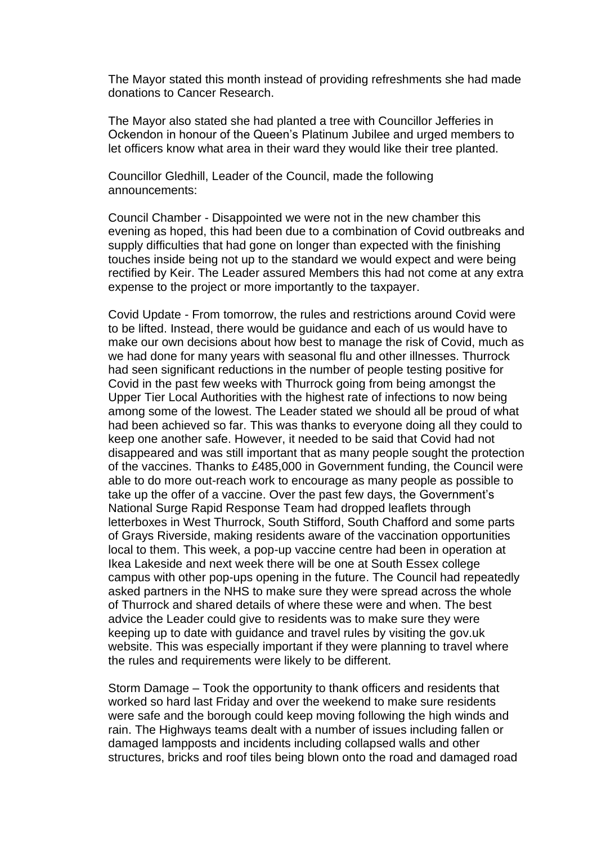The Mayor stated this month instead of providing refreshments she had made donations to Cancer Research.

The Mayor also stated she had planted a tree with Councillor Jefferies in Ockendon in honour of the Queen's Platinum Jubilee and urged members to let officers know what area in their ward they would like their tree planted.

Councillor Gledhill, Leader of the Council, made the following announcements:

Council Chamber - Disappointed we were not in the new chamber this evening as hoped, this had been due to a combination of Covid outbreaks and supply difficulties that had gone on longer than expected with the finishing touches inside being not up to the standard we would expect and were being rectified by Keir. The Leader assured Members this had not come at any extra expense to the project or more importantly to the taxpayer.

Covid Update - From tomorrow, the rules and restrictions around Covid were to be lifted. Instead, there would be guidance and each of us would have to make our own decisions about how best to manage the risk of Covid, much as we had done for many years with seasonal flu and other illnesses. Thurrock had seen significant reductions in the number of people testing positive for Covid in the past few weeks with Thurrock going from being amongst the Upper Tier Local Authorities with the highest rate of infections to now being among some of the lowest. The Leader stated we should all be proud of what had been achieved so far. This was thanks to everyone doing all they could to keep one another safe. However, it needed to be said that Covid had not disappeared and was still important that as many people sought the protection of the vaccines. Thanks to £485,000 in Government funding, the Council were able to do more out-reach work to encourage as many people as possible to take up the offer of a vaccine. Over the past few days, the Government's National Surge Rapid Response Team had dropped leaflets through letterboxes in West Thurrock, South Stifford, South Chafford and some parts of Grays Riverside, making residents aware of the vaccination opportunities local to them. This week, a pop-up vaccine centre had been in operation at Ikea Lakeside and next week there will be one at South Essex college campus with other pop-ups opening in the future. The Council had repeatedly asked partners in the NHS to make sure they were spread across the whole of Thurrock and shared details of where these were and when. The best advice the Leader could give to residents was to make sure they were keeping up to date with guidance and travel rules by visiting the gov.uk website. This was especially important if they were planning to travel where the rules and requirements were likely to be different.

Storm Damage – Took the opportunity to thank officers and residents that worked so hard last Friday and over the weekend to make sure residents were safe and the borough could keep moving following the high winds and rain. The Highways teams dealt with a number of issues including fallen or damaged lampposts and incidents including collapsed walls and other structures, bricks and roof tiles being blown onto the road and damaged road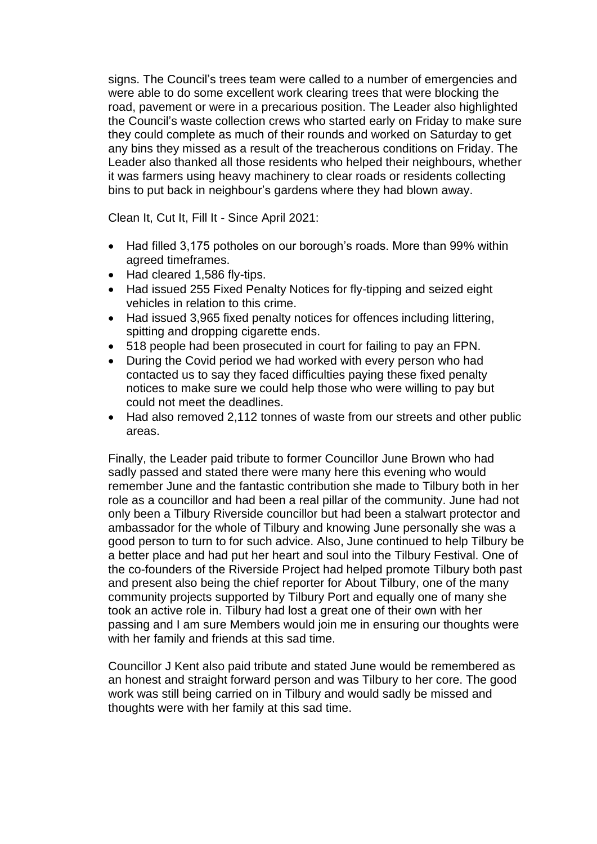signs. The Council's trees team were called to a number of emergencies and were able to do some excellent work clearing trees that were blocking the road, pavement or were in a precarious position. The Leader also highlighted the Council's waste collection crews who started early on Friday to make sure they could complete as much of their rounds and worked on Saturday to get any bins they missed as a result of the treacherous conditions on Friday. The Leader also thanked all those residents who helped their neighbours, whether it was farmers using heavy machinery to clear roads or residents collecting bins to put back in neighbour's gardens where they had blown away.

Clean It, Cut It, Fill It - Since April 2021:

- Had filled 3,175 potholes on our borough's roads. More than 99% within agreed timeframes.
- Had cleared 1,586 fly-tips.
- Had issued 255 Fixed Penalty Notices for fly-tipping and seized eight vehicles in relation to this crime.
- Had issued 3,965 fixed penalty notices for offences including littering, spitting and dropping cigarette ends.
- 518 people had been prosecuted in court for failing to pay an FPN.
- During the Covid period we had worked with every person who had contacted us to say they faced difficulties paying these fixed penalty notices to make sure we could help those who were willing to pay but could not meet the deadlines.
- Had also removed 2,112 tonnes of waste from our streets and other public areas.

Finally, the Leader paid tribute to former Councillor June Brown who had sadly passed and stated there were many here this evening who would remember June and the fantastic contribution she made to Tilbury both in her role as a councillor and had been a real pillar of the community. June had not only been a Tilbury Riverside councillor but had been a stalwart protector and ambassador for the whole of Tilbury and knowing June personally she was a good person to turn to for such advice. Also, June continued to help Tilbury be a better place and had put her heart and soul into the Tilbury Festival. One of the co-founders of the Riverside Project had helped promote Tilbury both past and present also being the chief reporter for About Tilbury, one of the many community projects supported by Tilbury Port and equally one of many she took an active role in. Tilbury had lost a great one of their own with her passing and I am sure Members would join me in ensuring our thoughts were with her family and friends at this sad time.

Councillor J Kent also paid tribute and stated June would be remembered as an honest and straight forward person and was Tilbury to her core. The good work was still being carried on in Tilbury and would sadly be missed and thoughts were with her family at this sad time.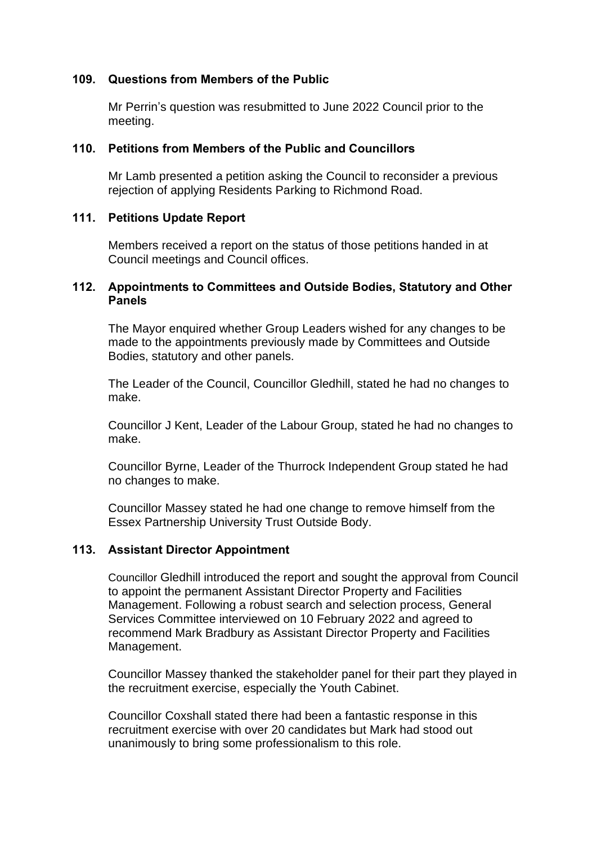## **109. Questions from Members of the Public**

Mr Perrin's question was resubmitted to June 2022 Council prior to the meeting.

### **110. Petitions from Members of the Public and Councillors**

Mr Lamb presented a petition asking the Council to reconsider a previous rejection of applying Residents Parking to Richmond Road.

### **111. Petitions Update Report**

Members received a report on the status of those petitions handed in at Council meetings and Council offices.

### **112. Appointments to Committees and Outside Bodies, Statutory and Other Panels**

The Mayor enquired whether Group Leaders wished for any changes to be made to the appointments previously made by Committees and Outside Bodies, statutory and other panels.

The Leader of the Council, Councillor Gledhill, stated he had no changes to make.

Councillor J Kent, Leader of the Labour Group, stated he had no changes to make.

Councillor Byrne, Leader of the Thurrock Independent Group stated he had no changes to make.

Councillor Massey stated he had one change to remove himself from the Essex Partnership University Trust Outside Body.

### **113. Assistant Director Appointment**

Councillor Gledhill introduced the report and sought the approval from Council to appoint the permanent Assistant Director Property and Facilities Management. Following a robust search and selection process, General Services Committee interviewed on 10 February 2022 and agreed to recommend Mark Bradbury as Assistant Director Property and Facilities Management.

Councillor Massey thanked the stakeholder panel for their part they played in the recruitment exercise, especially the Youth Cabinet.

Councillor Coxshall stated there had been a fantastic response in this recruitment exercise with over 20 candidates but Mark had stood out unanimously to bring some professionalism to this role.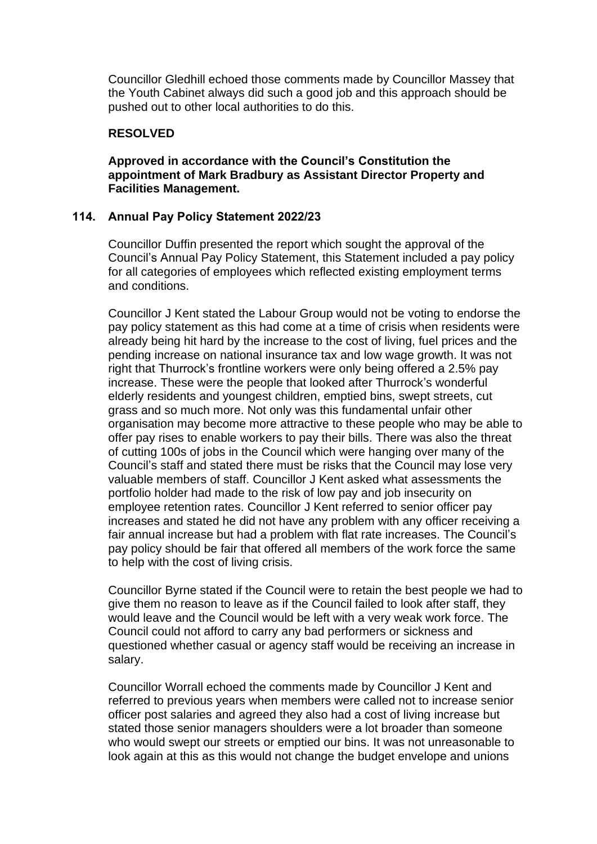Councillor Gledhill echoed those comments made by Councillor Massey that the Youth Cabinet always did such a good job and this approach should be pushed out to other local authorities to do this.

### **RESOLVED**

### **Approved in accordance with the Council's Constitution the appointment of Mark Bradbury as Assistant Director Property and Facilities Management.**

### **114. Annual Pay Policy Statement 2022/23**

Councillor Duffin presented the report which sought the approval of the Council's Annual Pay Policy Statement, this Statement included a pay policy for all categories of employees which reflected existing employment terms and conditions.

Councillor J Kent stated the Labour Group would not be voting to endorse the pay policy statement as this had come at a time of crisis when residents were already being hit hard by the increase to the cost of living, fuel prices and the pending increase on national insurance tax and low wage growth. It was not right that Thurrock's frontline workers were only being offered a 2.5% pay increase. These were the people that looked after Thurrock's wonderful elderly residents and youngest children, emptied bins, swept streets, cut grass and so much more. Not only was this fundamental unfair other organisation may become more attractive to these people who may be able to offer pay rises to enable workers to pay their bills. There was also the threat of cutting 100s of jobs in the Council which were hanging over many of the Council's staff and stated there must be risks that the Council may lose very valuable members of staff. Councillor J Kent asked what assessments the portfolio holder had made to the risk of low pay and job insecurity on employee retention rates. Councillor J Kent referred to senior officer pay increases and stated he did not have any problem with any officer receiving a fair annual increase but had a problem with flat rate increases. The Council's pay policy should be fair that offered all members of the work force the same to help with the cost of living crisis.

Councillor Byrne stated if the Council were to retain the best people we had to give them no reason to leave as if the Council failed to look after staff, they would leave and the Council would be left with a very weak work force. The Council could not afford to carry any bad performers or sickness and questioned whether casual or agency staff would be receiving an increase in salary.

Councillor Worrall echoed the comments made by Councillor J Kent and referred to previous years when members were called not to increase senior officer post salaries and agreed they also had a cost of living increase but stated those senior managers shoulders were a lot broader than someone who would swept our streets or emptied our bins. It was not unreasonable to look again at this as this would not change the budget envelope and unions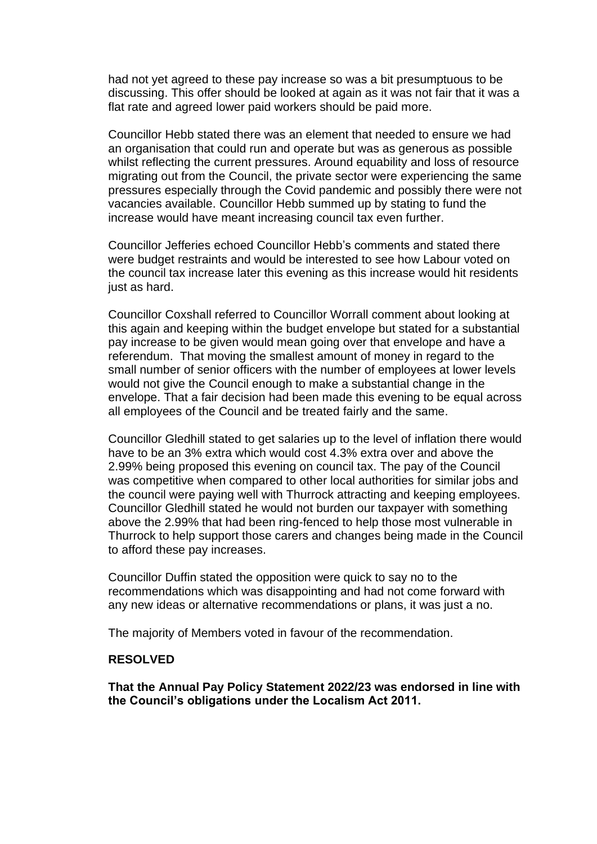had not yet agreed to these pay increase so was a bit presumptuous to be discussing. This offer should be looked at again as it was not fair that it was a flat rate and agreed lower paid workers should be paid more.

Councillor Hebb stated there was an element that needed to ensure we had an organisation that could run and operate but was as generous as possible whilst reflecting the current pressures. Around equability and loss of resource migrating out from the Council, the private sector were experiencing the same pressures especially through the Covid pandemic and possibly there were not vacancies available. Councillor Hebb summed up by stating to fund the increase would have meant increasing council tax even further.

Councillor Jefferies echoed Councillor Hebb's comments and stated there were budget restraints and would be interested to see how Labour voted on the council tax increase later this evening as this increase would hit residents just as hard.

Councillor Coxshall referred to Councillor Worrall comment about looking at this again and keeping within the budget envelope but stated for a substantial pay increase to be given would mean going over that envelope and have a referendum. That moving the smallest amount of money in regard to the small number of senior officers with the number of employees at lower levels would not give the Council enough to make a substantial change in the envelope. That a fair decision had been made this evening to be equal across all employees of the Council and be treated fairly and the same.

Councillor Gledhill stated to get salaries up to the level of inflation there would have to be an 3% extra which would cost 4.3% extra over and above the 2.99% being proposed this evening on council tax. The pay of the Council was competitive when compared to other local authorities for similar jobs and the council were paying well with Thurrock attracting and keeping employees. Councillor Gledhill stated he would not burden our taxpayer with something above the 2.99% that had been ring-fenced to help those most vulnerable in Thurrock to help support those carers and changes being made in the Council to afford these pay increases.

Councillor Duffin stated the opposition were quick to say no to the recommendations which was disappointing and had not come forward with any new ideas or alternative recommendations or plans, it was just a no.

The majority of Members voted in favour of the recommendation.

### **RESOLVED**

**That the Annual Pay Policy Statement 2022/23 was endorsed in line with the Council's obligations under the Localism Act 2011.**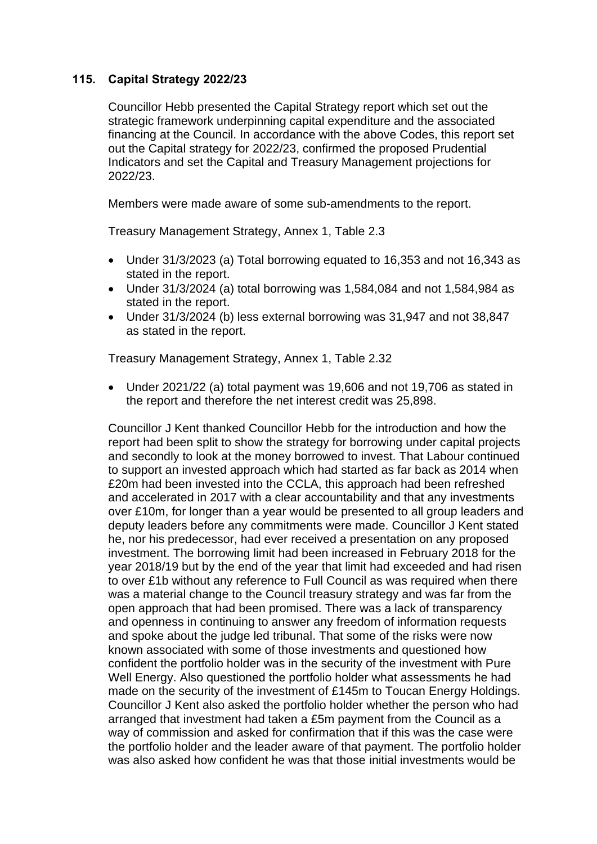# **115. Capital Strategy 2022/23**

Councillor Hebb presented the Capital Strategy report which set out the strategic framework underpinning capital expenditure and the associated financing at the Council. In accordance with the above Codes, this report set out the Capital strategy for 2022/23, confirmed the proposed Prudential Indicators and set the Capital and Treasury Management projections for 2022/23.

Members were made aware of some sub-amendments to the report.

Treasury Management Strategy, Annex 1, Table 2.3

- Under 31/3/2023 (a) Total borrowing equated to 16,353 and not 16,343 as stated in the report.
- Under 31/3/2024 (a) total borrowing was 1,584,084 and not 1,584,984 as stated in the report.
- Under 31/3/2024 (b) less external borrowing was 31,947 and not 38,847 as stated in the report.

Treasury Management Strategy, Annex 1, Table 2.32

• Under 2021/22 (a) total payment was 19,606 and not 19,706 as stated in the report and therefore the net interest credit was 25,898.

Councillor J Kent thanked Councillor Hebb for the introduction and how the report had been split to show the strategy for borrowing under capital projects and secondly to look at the money borrowed to invest. That Labour continued to support an invested approach which had started as far back as 2014 when £20m had been invested into the CCLA, this approach had been refreshed and accelerated in 2017 with a clear accountability and that any investments over £10m, for longer than a year would be presented to all group leaders and deputy leaders before any commitments were made. Councillor J Kent stated he, nor his predecessor, had ever received a presentation on any proposed investment. The borrowing limit had been increased in February 2018 for the year 2018/19 but by the end of the year that limit had exceeded and had risen to over £1b without any reference to Full Council as was required when there was a material change to the Council treasury strategy and was far from the open approach that had been promised. There was a lack of transparency and openness in continuing to answer any freedom of information requests and spoke about the judge led tribunal. That some of the risks were now known associated with some of those investments and questioned how confident the portfolio holder was in the security of the investment with Pure Well Energy. Also questioned the portfolio holder what assessments he had made on the security of the investment of £145m to Toucan Energy Holdings. Councillor J Kent also asked the portfolio holder whether the person who had arranged that investment had taken a £5m payment from the Council as a way of commission and asked for confirmation that if this was the case were the portfolio holder and the leader aware of that payment. The portfolio holder was also asked how confident he was that those initial investments would be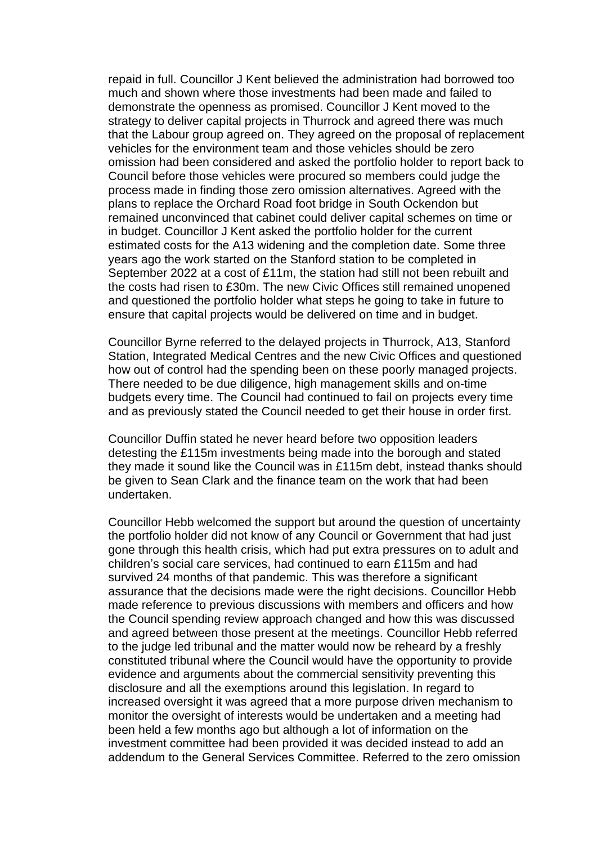repaid in full. Councillor J Kent believed the administration had borrowed too much and shown where those investments had been made and failed to demonstrate the openness as promised. Councillor J Kent moved to the strategy to deliver capital projects in Thurrock and agreed there was much that the Labour group agreed on. They agreed on the proposal of replacement vehicles for the environment team and those vehicles should be zero omission had been considered and asked the portfolio holder to report back to Council before those vehicles were procured so members could judge the process made in finding those zero omission alternatives. Agreed with the plans to replace the Orchard Road foot bridge in South Ockendon but remained unconvinced that cabinet could deliver capital schemes on time or in budget. Councillor J Kent asked the portfolio holder for the current estimated costs for the A13 widening and the completion date. Some three years ago the work started on the Stanford station to be completed in September 2022 at a cost of £11m, the station had still not been rebuilt and the costs had risen to £30m. The new Civic Offices still remained unopened and questioned the portfolio holder what steps he going to take in future to ensure that capital projects would be delivered on time and in budget.

Councillor Byrne referred to the delayed projects in Thurrock, A13, Stanford Station, Integrated Medical Centres and the new Civic Offices and questioned how out of control had the spending been on these poorly managed projects. There needed to be due diligence, high management skills and on-time budgets every time. The Council had continued to fail on projects every time and as previously stated the Council needed to get their house in order first.

Councillor Duffin stated he never heard before two opposition leaders detesting the £115m investments being made into the borough and stated they made it sound like the Council was in £115m debt, instead thanks should be given to Sean Clark and the finance team on the work that had been undertaken.

Councillor Hebb welcomed the support but around the question of uncertainty the portfolio holder did not know of any Council or Government that had just gone through this health crisis, which had put extra pressures on to adult and children's social care services, had continued to earn £115m and had survived 24 months of that pandemic. This was therefore a significant assurance that the decisions made were the right decisions. Councillor Hebb made reference to previous discussions with members and officers and how the Council spending review approach changed and how this was discussed and agreed between those present at the meetings. Councillor Hebb referred to the judge led tribunal and the matter would now be reheard by a freshly constituted tribunal where the Council would have the opportunity to provide evidence and arguments about the commercial sensitivity preventing this disclosure and all the exemptions around this legislation. In regard to increased oversight it was agreed that a more purpose driven mechanism to monitor the oversight of interests would be undertaken and a meeting had been held a few months ago but although a lot of information on the investment committee had been provided it was decided instead to add an addendum to the General Services Committee. Referred to the zero omission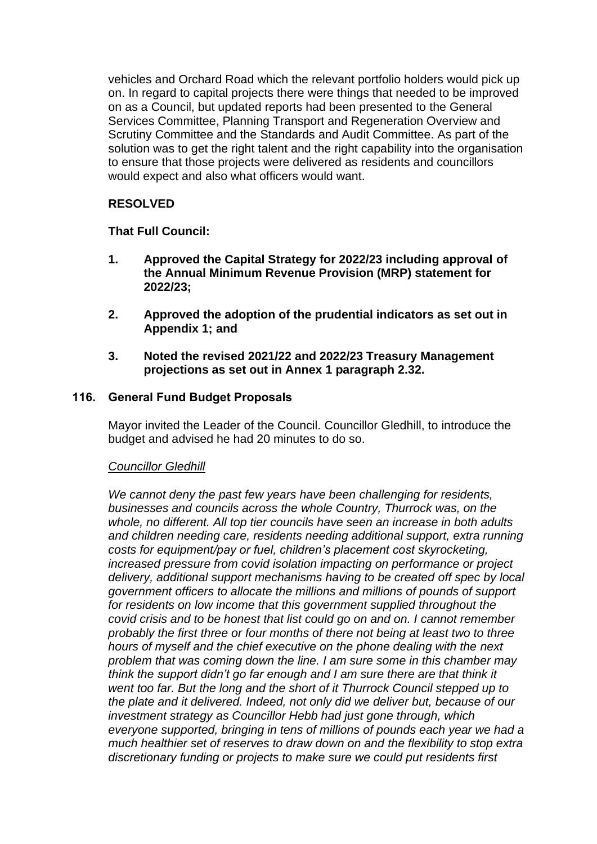vehicles and Orchard Road which the relevant portfolio holders would pick up on. In regard to capital projects there were things that needed to be improved on as a Council, but updated reports had been presented to the General Services Committee, Planning Transport and Regeneration Overview and Scrutiny Committee and the Standards and Audit Committee. As part of the solution was to get the right talent and the right capability into the organisation to ensure that those projects were delivered as residents and councillors would expect and also what officers would want.

# **RESOLVED**

# **That Full Council:**

- **1. Approved the Capital Strategy for 2022/23 including approval of the Annual Minimum Revenue Provision (MRP) statement for 2022/23;**
- **2. Approved the adoption of the prudential indicators as set out in Appendix 1; and**
- **3. Noted the revised 2021/22 and 2022/23 Treasury Management projections as set out in Annex 1 paragraph 2.32.**

# **116. General Fund Budget Proposals**

Mayor invited the Leader of the Council. Councillor Gledhill, to introduce the budget and advised he had 20 minutes to do so.

# *Councillor Gledhill*

*We cannot deny the past few years have been challenging for residents, businesses and councils across the whole Country, Thurrock was, on the whole, no different. All top tier councils have seen an increase in both adults and children needing care, residents needing additional support, extra running costs for equipment/pay or fuel, children's placement cost skyrocketing, increased pressure from covid isolation impacting on performance or project delivery, additional support mechanisms having to be created off spec by local government officers to allocate the millions and millions of pounds of support for residents on low income that this government supplied throughout the covid crisis and to be honest that list could go on and on. I cannot remember probably the first three or four months of there not being at least two to three hours of myself and the chief executive on the phone dealing with the next problem that was coming down the line. I am sure some in this chamber may think the support didn't go far enough and I am sure there are that think it went too far. But the long and the short of it Thurrock Council stepped up to the plate and it delivered. Indeed, not only did we deliver but, because of our investment strategy as Councillor Hebb had just gone through, which everyone supported, bringing in tens of millions of pounds each year we had a much healthier set of reserves to draw down on and the flexibility to stop extra discretionary funding or projects to make sure we could put residents first*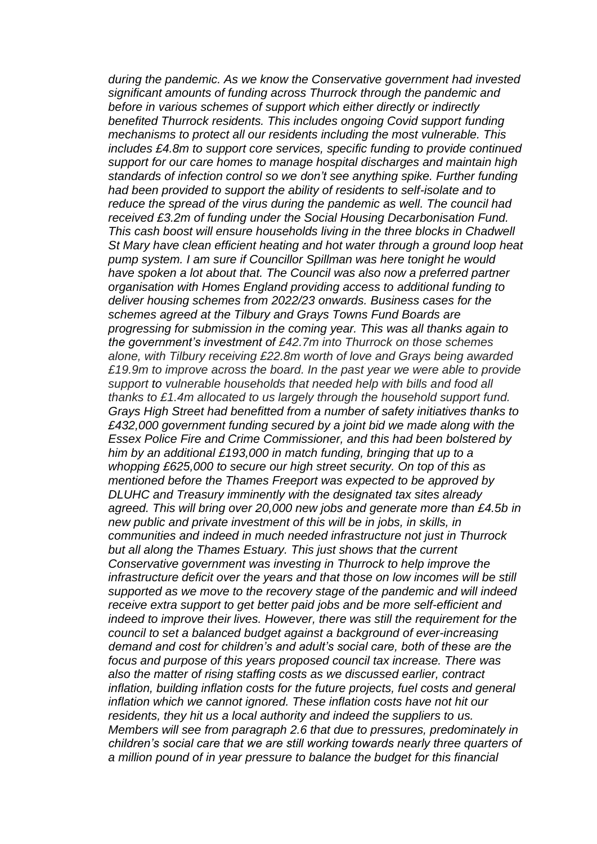*during the pandemic. As we know the Conservative government had invested significant amounts of funding across Thurrock through the pandemic and before in various schemes of support which either directly or indirectly benefited Thurrock residents. This includes ongoing Covid support funding mechanisms to protect all our residents including the most vulnerable. This includes £4.8m to support core services, specific funding to provide continued support for our care homes to manage hospital discharges and maintain high standards of infection control so we don't see anything spike. Further funding had been provided to support the ability of residents to self-isolate and to reduce the spread of the virus during the pandemic as well. The council had received £3.2m of funding under the Social Housing Decarbonisation Fund. This cash boost will ensure households living in the three blocks in Chadwell St Mary have clean efficient heating and hot water through a ground loop heat pump system. I am sure if Councillor Spillman was here tonight he would have spoken a lot about that. The Council was also now a preferred partner organisation with Homes England providing access to additional funding to deliver housing schemes from 2022/23 onwards. Business cases for the schemes agreed at the Tilbury and Grays Towns Fund Boards are progressing for submission in the coming year. This was all thanks again to the government's investment of £42.7m into Thurrock on those schemes alone, with Tilbury receiving £22.8m worth of love and Grays being awarded £19.9m to improve across the board. In the past year we were able to provide support to vulnerable households that needed help with bills and food all thanks to £1.4m allocated to us largely through the household support fund. Grays High Street had benefitted from a number of safety initiatives thanks to £432,000 government funding secured by a joint bid we made along with the Essex Police Fire and Crime Commissioner, and this had been bolstered by him by an additional £193,000 in match funding, bringing that up to a whopping £625,000 to secure our high street security. On top of this as mentioned before the Thames Freeport was expected to be approved by DLUHC and Treasury imminently with the designated tax sites already agreed. This will bring over 20,000 new jobs and generate more than £4.5b in new public and private investment of this will be in jobs, in skills, in communities and indeed in much needed infrastructure not just in Thurrock but all along the Thames Estuary. This just shows that the current Conservative government was investing in Thurrock to help improve the infrastructure deficit over the years and that those on low incomes will be still supported as we move to the recovery stage of the pandemic and will indeed receive extra support to get better paid jobs and be more self-efficient and indeed to improve their lives. However, there was still the requirement for the council to set a balanced budget against a background of ever-increasing demand and cost for children's and adult's social care, both of these are the focus and purpose of this years proposed council tax increase. There was also the matter of rising staffing costs as we discussed earlier, contract inflation, building inflation costs for the future projects, fuel costs and general inflation which we cannot ignored. These inflation costs have not hit our residents, they hit us a local authority and indeed the suppliers to us. Members will see from paragraph 2.6 that due to pressures, predominately in children's social care that we are still working towards nearly three quarters of a million pound of in year pressure to balance the budget for this financial*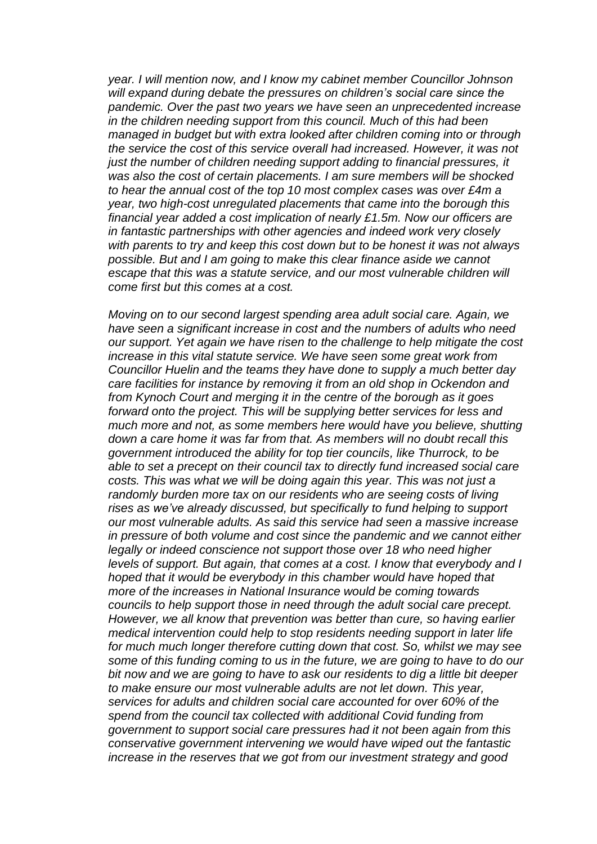*year. I will mention now, and I know my cabinet member Councillor Johnson will expand during debate the pressures on children's social care since the pandemic. Over the past two years we have seen an unprecedented increase in the children needing support from this council. Much of this had been managed in budget but with extra looked after children coming into or through the service the cost of this service overall had increased. However, it was not just the number of children needing support adding to financial pressures, it was also the cost of certain placements. I am sure members will be shocked to hear the annual cost of the top 10 most complex cases was over £4m a year, two high-cost unregulated placements that came into the borough this financial year added a cost implication of nearly £1.5m. Now our officers are in fantastic partnerships with other agencies and indeed work very closely with parents to try and keep this cost down but to be honest it was not always possible. But and I am going to make this clear finance aside we cannot escape that this was a statute service, and our most vulnerable children will come first but this comes at a cost.* 

*Moving on to our second largest spending area adult social care. Again, we have seen a significant increase in cost and the numbers of adults who need our support. Yet again we have risen to the challenge to help mitigate the cost increase in this vital statute service. We have seen some great work from Councillor Huelin and the teams they have done to supply a much better day care facilities for instance by removing it from an old shop in Ockendon and from Kynoch Court and merging it in the centre of the borough as it goes forward onto the project. This will be supplying better services for less and much more and not, as some members here would have you believe, shutting down a care home it was far from that. As members will no doubt recall this government introduced the ability for top tier councils, like Thurrock, to be able to set a precept on their council tax to directly fund increased social care costs. This was what we will be doing again this year. This was not just a randomly burden more tax on our residents who are seeing costs of living rises as we've already discussed, but specifically to fund helping to support our most vulnerable adults. As said this service had seen a massive increase in pressure of both volume and cost since the pandemic and we cannot either legally or indeed conscience not support those over 18 who need higher levels of support. But again, that comes at a cost. I know that everybody and I hoped that it would be everybody in this chamber would have hoped that more of the increases in National Insurance would be coming towards councils to help support those in need through the adult social care precept. However, we all know that prevention was better than cure, so having earlier medical intervention could help to stop residents needing support in later life for much much longer therefore cutting down that cost. So, whilst we may see some of this funding coming to us in the future, we are going to have to do our bit now and we are going to have to ask our residents to dig a little bit deeper to make ensure our most vulnerable adults are not let down. This year, services for adults and children social care accounted for over 60% of the spend from the council tax collected with additional Covid funding from government to support social care pressures had it not been again from this conservative government intervening we would have wiped out the fantastic increase in the reserves that we got from our investment strategy and good*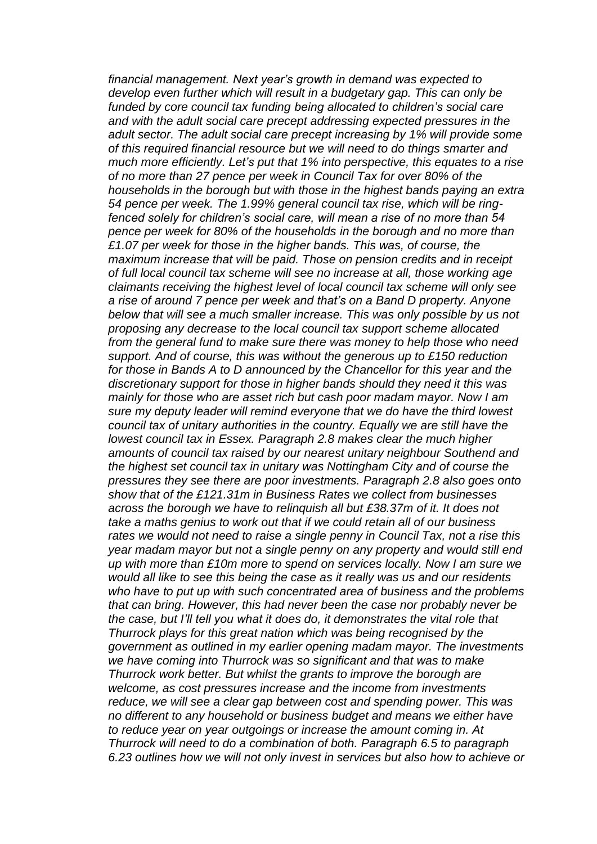*financial management. Next year's growth in demand was expected to develop even further which will result in a budgetary gap. This can only be funded by core council tax funding being allocated to children's social care and with the adult social care precept addressing expected pressures in the adult sector. The adult social care precept increasing by 1% will provide some of this required financial resource but we will need to do things smarter and much more efficiently. Let's put that 1% into perspective, this equates to a rise of no more than 27 pence per week in Council Tax for over 80% of the households in the borough but with those in the highest bands paying an extra 54 pence per week. The 1.99% general council tax rise, which will be ringfenced solely for children's social care, will mean a rise of no more than 54 pence per week for 80% of the households in the borough and no more than £1.07 per week for those in the higher bands. This was, of course, the maximum increase that will be paid. Those on pension credits and in receipt of full local council tax scheme will see no increase at all, those working age claimants receiving the highest level of local council tax scheme will only see a rise of around 7 pence per week and that's on a Band D property. Anyone below that will see a much smaller increase. This was only possible by us not proposing any decrease to the local council tax support scheme allocated from the general fund to make sure there was money to help those who need support. And of course, this was without the generous up to £150 reduction for those in Bands A to D announced by the Chancellor for this year and the discretionary support for those in higher bands should they need it this was mainly for those who are asset rich but cash poor madam mayor. Now I am sure my deputy leader will remind everyone that we do have the third lowest council tax of unitary authorities in the country. Equally we are still have the lowest council tax in Essex. Paragraph 2.8 makes clear the much higher amounts of council tax raised by our nearest unitary neighbour Southend and the highest set council tax in unitary was Nottingham City and of course the pressures they see there are poor investments. Paragraph 2.8 also goes onto show that of the £121.31m in Business Rates we collect from businesses across the borough we have to relinquish all but £38.37m of it. It does not take a maths genius to work out that if we could retain all of our business rates we would not need to raise a single penny in Council Tax, not a rise this year madam mayor but not a single penny on any property and would still end up with more than £10m more to spend on services locally. Now I am sure we would all like to see this being the case as it really was us and our residents who have to put up with such concentrated area of business and the problems that can bring. However, this had never been the case nor probably never be the case, but I'll tell you what it does do, it demonstrates the vital role that Thurrock plays for this great nation which was being recognised by the government as outlined in my earlier opening madam mayor. The investments we have coming into Thurrock was so significant and that was to make Thurrock work better. But whilst the grants to improve the borough are welcome, as cost pressures increase and the income from investments reduce, we will see a clear gap between cost and spending power. This was no different to any household or business budget and means we either have to reduce year on year outgoings or increase the amount coming in. At Thurrock will need to do a combination of both. Paragraph 6.5 to paragraph 6.23 outlines how we will not only invest in services but also how to achieve or*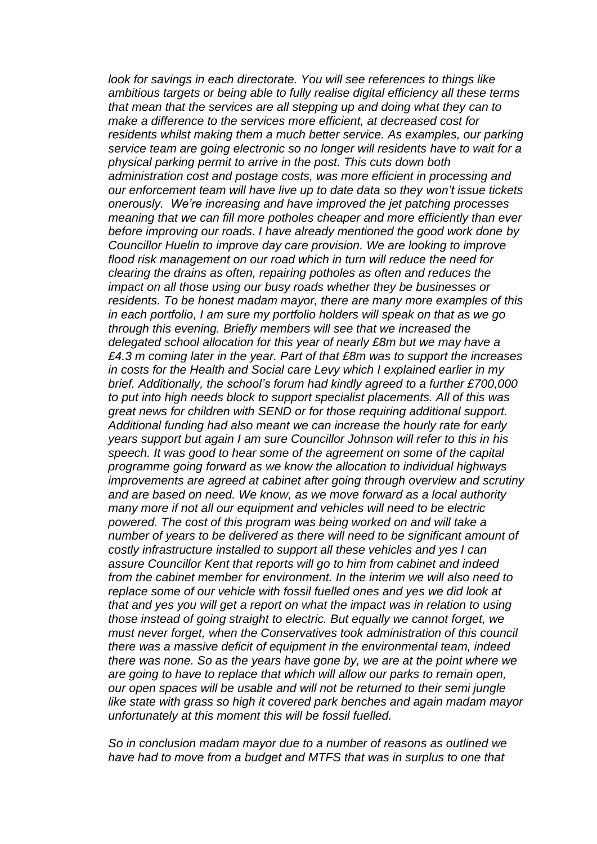*look for savings in each directorate. You will see references to things like ambitious targets or being able to fully realise digital efficiency all these terms that mean that the services are all stepping up and doing what they can to make a difference to the services more efficient, at decreased cost for residents whilst making them a much better service. As examples, our parking service team are going electronic so no longer will residents have to wait for a physical parking permit to arrive in the post. This cuts down both administration cost and postage costs, was more efficient in processing and our enforcement team will have live up to date data so they won't issue tickets onerously. We're increasing and have improved the jet patching processes meaning that we can fill more potholes cheaper and more efficiently than ever before improving our roads. I have already mentioned the good work done by Councillor Huelin to improve day care provision. We are looking to improve flood risk management on our road which in turn will reduce the need for clearing the drains as often, repairing potholes as often and reduces the impact on all those using our busy roads whether they be businesses or residents. To be honest madam mayor, there are many more examples of this in each portfolio, I am sure my portfolio holders will speak on that as we go through this evening. Briefly members will see that we increased the delegated school allocation for this year of nearly £8m but we may have a £4.3 m coming later in the year. Part of that £8m was to support the increases in costs for the Health and Social care Levy which I explained earlier in my brief. Additionally, the school's forum had kindly agreed to a further £700,000 to put into high needs block to support specialist placements. All of this was great news for children with SEND or for those requiring additional support. Additional funding had also meant we can increase the hourly rate for early years support but again I am sure Councillor Johnson will refer to this in his speech. It was good to hear some of the agreement on some of the capital programme going forward as we know the allocation to individual highways improvements are agreed at cabinet after going through overview and scrutiny and are based on need. We know, as we move forward as a local authority many more if not all our equipment and vehicles will need to be electric powered. The cost of this program was being worked on and will take a number of years to be delivered as there will need to be significant amount of costly infrastructure installed to support all these vehicles and yes I can assure Councillor Kent that reports will go to him from cabinet and indeed from the cabinet member for environment. In the interim we will also need to replace some of our vehicle with fossil fuelled ones and yes we did look at that and yes you will get a report on what the impact was in relation to using those instead of going straight to electric. But equally we cannot forget, we must never forget, when the Conservatives took administration of this council there was a massive deficit of equipment in the environmental team, indeed there was none. So as the years have gone by, we are at the point where we are going to have to replace that which will allow our parks to remain open, our open spaces will be usable and will not be returned to their semi jungle like state with grass so high it covered park benches and again madam mayor unfortunately at this moment this will be fossil fuelled.* 

*So in conclusion madam mayor due to a number of reasons as outlined we have had to move from a budget and MTFS that was in surplus to one that*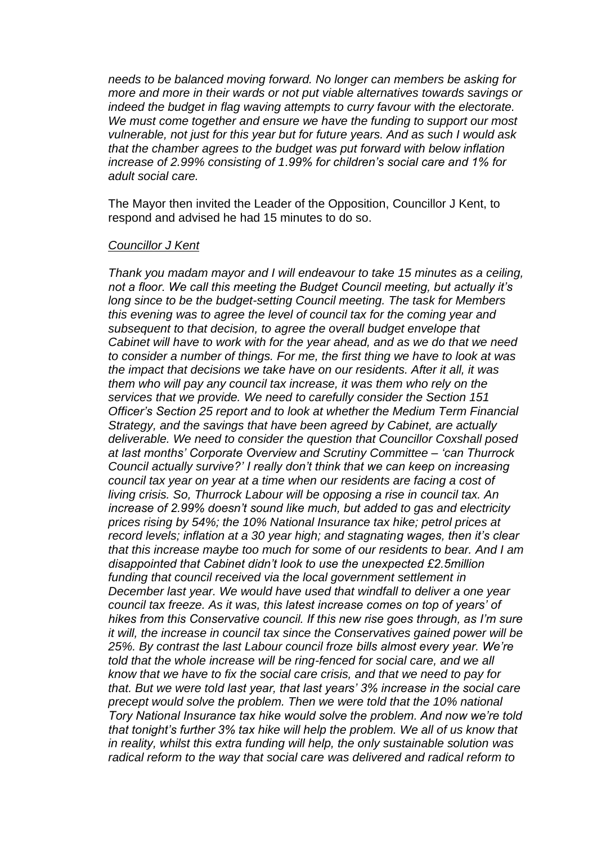*needs to be balanced moving forward. No longer can members be asking for more and more in their wards or not put viable alternatives towards savings or indeed the budget in flag waving attempts to curry favour with the electorate. We must come together and ensure we have the funding to support our most vulnerable, not just for this year but for future years. And as such I would ask that the chamber agrees to the budget was put forward with below inflation increase of 2.99% consisting of 1.99% for children's social care and 1% for adult social care.*

The Mayor then invited the Leader of the Opposition, Councillor J Kent, to respond and advised he had 15 minutes to do so.

#### *Councillor J Kent*

*Thank you madam mayor and I will endeavour to take 15 minutes as a ceiling, not a floor. We call this meeting the Budget Council meeting, but actually it's long since to be the budget-setting Council meeting. The task for Members this evening was to agree the level of council tax for the coming year and subsequent to that decision, to agree the overall budget envelope that Cabinet will have to work with for the year ahead, and as we do that we need to consider a number of things. For me, the first thing we have to look at was the impact that decisions we take have on our residents. After it all, it was them who will pay any council tax increase, it was them who rely on the services that we provide. We need to carefully consider the Section 151 Officer's Section 25 report and to look at whether the Medium Term Financial Strategy, and the savings that have been agreed by Cabinet, are actually deliverable. We need to consider the question that Councillor Coxshall posed at last months' Corporate Overview and Scrutiny Committee – 'can Thurrock Council actually survive?' I really don't think that we can keep on increasing council tax year on year at a time when our residents are facing a cost of living crisis. So, Thurrock Labour will be opposing a rise in council tax. An increase of 2.99% doesn't sound like much, but added to gas and electricity prices rising by 54%; the 10% National Insurance tax hike; petrol prices at record levels; inflation at a 30 year high; and stagnating wages, then it's clear that this increase maybe too much for some of our residents to bear. And I am disappointed that Cabinet didn't look to use the unexpected £2.5million funding that council received via the local government settlement in December last year. We would have used that windfall to deliver a one year council tax freeze. As it was, this latest increase comes on top of years' of hikes from this Conservative council. If this new rise goes through, as I'm sure it will, the increase in council tax since the Conservatives gained power will be 25%. By contrast the last Labour council froze bills almost every year. We're*  told that the whole increase will be ring-fenced for social care, and we all *know that we have to fix the social care crisis, and that we need to pay for that. But we were told last year, that last years' 3% increase in the social care precept would solve the problem. Then we were told that the 10% national Tory National Insurance tax hike would solve the problem. And now we're told that tonight's further 3% tax hike will help the problem. We all of us know that in reality, whilst this extra funding will help, the only sustainable solution was radical reform to the way that social care was delivered and radical reform to*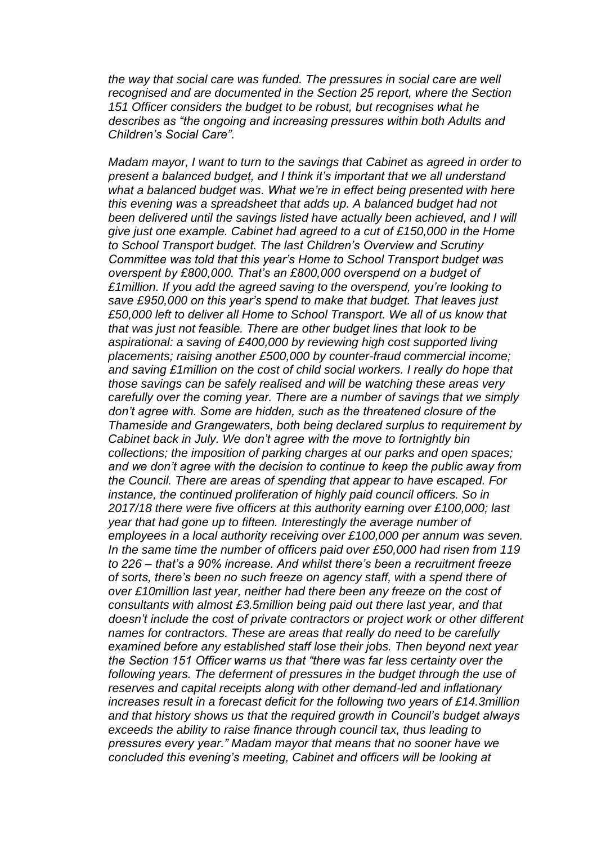*the way that social care was funded. The pressures in social care are well recognised and are documented in the Section 25 report, where the Section 151 Officer considers the budget to be robust, but recognises what he describes as "the ongoing and increasing pressures within both Adults and Children's Social Care".* 

*Madam mayor, I want to turn to the savings that Cabinet as agreed in order to present a balanced budget, and I think it's important that we all understand what a balanced budget was. What we're in effect being presented with here this evening was a spreadsheet that adds up. A balanced budget had not been delivered until the savings listed have actually been achieved, and I will give just one example. Cabinet had agreed to a cut of £150,000 in the Home to School Transport budget. The last Children's Overview and Scrutiny Committee was told that this year's Home to School Transport budget was overspent by £800,000. That's an £800,000 overspend on a budget of £1million. If you add the agreed saving to the overspend, you're looking to save £950,000 on this year's spend to make that budget. That leaves just £50,000 left to deliver all Home to School Transport. We all of us know that that was just not feasible. There are other budget lines that look to be aspirational: a saving of £400,000 by reviewing high cost supported living placements; raising another £500,000 by counter-fraud commercial income; and saving £1million on the cost of child social workers. I really do hope that those savings can be safely realised and will be watching these areas very carefully over the coming year. There are a number of savings that we simply don't agree with. Some are hidden, such as the threatened closure of the Thameside and Grangewaters, both being declared surplus to requirement by Cabinet back in July. We don't agree with the move to fortnightly bin collections; the imposition of parking charges at our parks and open spaces; and we don't agree with the decision to continue to keep the public away from the Council. There are areas of spending that appear to have escaped. For instance, the continued proliferation of highly paid council officers. So in 2017/18 there were five officers at this authority earning over £100,000; last year that had gone up to fifteen. Interestingly the average number of employees in a local authority receiving over £100,000 per annum was seven. In the same time the number of officers paid over £50,000 had risen from 119 to 226 – that's a 90% increase. And whilst there's been a recruitment freeze of sorts, there's been no such freeze on agency staff, with a spend there of over £10million last year, neither had there been any freeze on the cost of consultants with almost £3.5million being paid out there last year, and that doesn't include the cost of private contractors or project work or other different names for contractors. These are areas that really do need to be carefully examined before any established staff lose their jobs. Then beyond next year the Section 151 Officer warns us that "there was far less certainty over the following years. The deferment of pressures in the budget through the use of reserves and capital receipts along with other demand-led and inflationary increases result in a forecast deficit for the following two years of £14.3million and that history shows us that the required growth in Council's budget always exceeds the ability to raise finance through council tax, thus leading to pressures every year." Madam mayor that means that no sooner have we concluded this evening's meeting, Cabinet and officers will be looking at*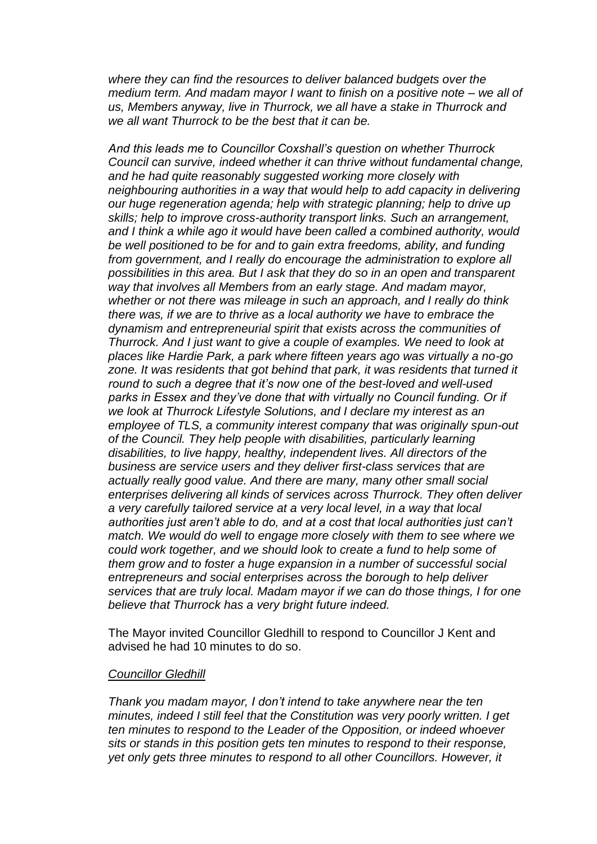*where they can find the resources to deliver balanced budgets over the medium term. And madam mayor I want to finish on a positive note – we all of us, Members anyway, live in Thurrock, we all have a stake in Thurrock and we all want Thurrock to be the best that it can be.* 

*And this leads me to Councillor Coxshall's question on whether Thurrock Council can survive, indeed whether it can thrive without fundamental change, and he had quite reasonably suggested working more closely with neighbouring authorities in a way that would help to add capacity in delivering our huge regeneration agenda; help with strategic planning; help to drive up skills; help to improve cross-authority transport links. Such an arrangement, and I think a while ago it would have been called a combined authority, would be well positioned to be for and to gain extra freedoms, ability, and funding from government, and I really do encourage the administration to explore all possibilities in this area. But I ask that they do so in an open and transparent way that involves all Members from an early stage. And madam mayor, whether or not there was mileage in such an approach, and I really do think there was, if we are to thrive as a local authority we have to embrace the dynamism and entrepreneurial spirit that exists across the communities of Thurrock. And I just want to give a couple of examples. We need to look at places like Hardie Park, a park where fifteen years ago was virtually a no-go zone. It was residents that got behind that park, it was residents that turned it round to such a degree that it's now one of the best-loved and well-used parks in Essex and they've done that with virtually no Council funding. Or if we look at Thurrock Lifestyle Solutions, and I declare my interest as an employee of TLS, a community interest company that was originally spun-out of the Council. They help people with disabilities, particularly learning disabilities, to live happy, healthy, independent lives. All directors of the business are service users and they deliver first-class services that are actually really good value. And there are many, many other small social enterprises delivering all kinds of services across Thurrock. They often deliver a very carefully tailored service at a very local level, in a way that local authorities just aren't able to do, and at a cost that local authorities just can't match. We would do well to engage more closely with them to see where we could work together, and we should look to create a fund to help some of them grow and to foster a huge expansion in a number of successful social entrepreneurs and social enterprises across the borough to help deliver services that are truly local. Madam mayor if we can do those things, I for one believe that Thurrock has a very bright future indeed.*

The Mayor invited Councillor Gledhill to respond to Councillor J Kent and advised he had 10 minutes to do so.

#### *Councillor Gledhill*

*Thank you madam mayor, I don't intend to take anywhere near the ten minutes, indeed I still feel that the Constitution was very poorly written. I get ten minutes to respond to the Leader of the Opposition, or indeed whoever sits or stands in this position gets ten minutes to respond to their response, yet only gets three minutes to respond to all other Councillors. However, it*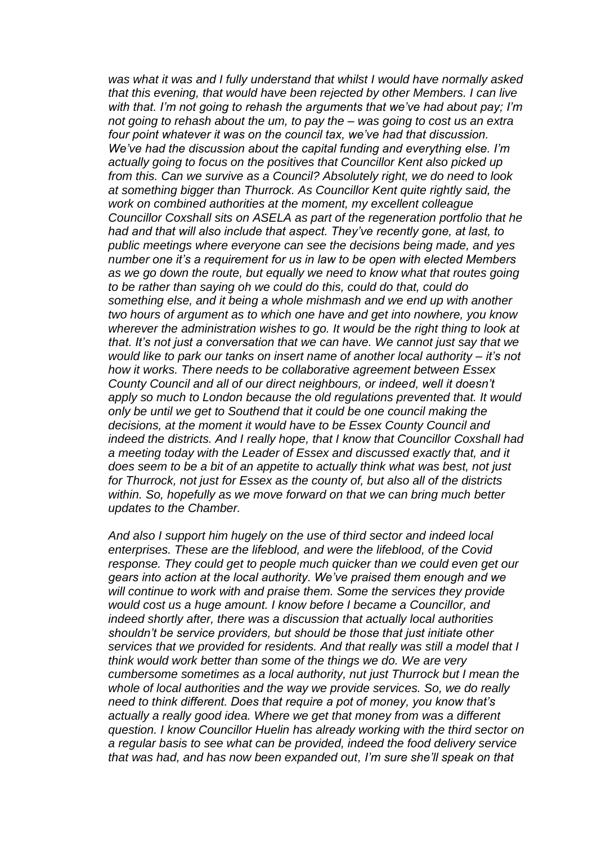*was what it was and I fully understand that whilst I would have normally asked that this evening, that would have been rejected by other Members. I can live with that. I'm not going to rehash the arguments that we've had about pay; I'm not going to rehash about the um, to pay the – was going to cost us an extra four point whatever it was on the council tax, we've had that discussion. We've had the discussion about the capital funding and everything else. I'm actually going to focus on the positives that Councillor Kent also picked up from this. Can we survive as a Council? Absolutely right, we do need to look at something bigger than Thurrock. As Councillor Kent quite rightly said, the work on combined authorities at the moment, my excellent colleague Councillor Coxshall sits on ASELA as part of the regeneration portfolio that he had and that will also include that aspect. They've recently gone, at last, to public meetings where everyone can see the decisions being made, and yes number one it's a requirement for us in law to be open with elected Members as we go down the route, but equally we need to know what that routes going to be rather than saying oh we could do this, could do that, could do something else, and it being a whole mishmash and we end up with another two hours of argument as to which one have and get into nowhere, you know wherever the administration wishes to go. It would be the right thing to look at that. It's not just a conversation that we can have. We cannot just say that we would like to park our tanks on insert name of another local authority – it's not how it works. There needs to be collaborative agreement between Essex County Council and all of our direct neighbours, or indeed, well it doesn't apply so much to London because the old regulations prevented that. It would only be until we get to Southend that it could be one council making the decisions, at the moment it would have to be Essex County Council and indeed the districts. And I really hope, that I know that Councillor Coxshall had a meeting today with the Leader of Essex and discussed exactly that, and it does seem to be a bit of an appetite to actually think what was best, not just for Thurrock, not just for Essex as the county of, but also all of the districts within. So, hopefully as we move forward on that we can bring much better updates to the Chamber.* 

*And also I support him hugely on the use of third sector and indeed local enterprises. These are the lifeblood, and were the lifeblood, of the Covid response. They could get to people much quicker than we could even get our gears into action at the local authority. We've praised them enough and we will continue to work with and praise them. Some the services they provide would cost us a huge amount. I know before I became a Councillor, and indeed shortly after, there was a discussion that actually local authorities shouldn't be service providers, but should be those that just initiate other services that we provided for residents. And that really was still a model that I think would work better than some of the things we do. We are very cumbersome sometimes as a local authority, nut just Thurrock but I mean the whole of local authorities and the way we provide services. So, we do really need to think different. Does that require a pot of money, you know that's actually a really good idea. Where we get that money from was a different question. I know Councillor Huelin has already working with the third sector on a regular basis to see what can be provided, indeed the food delivery service that was had, and has now been expanded out, I'm sure she'll speak on that*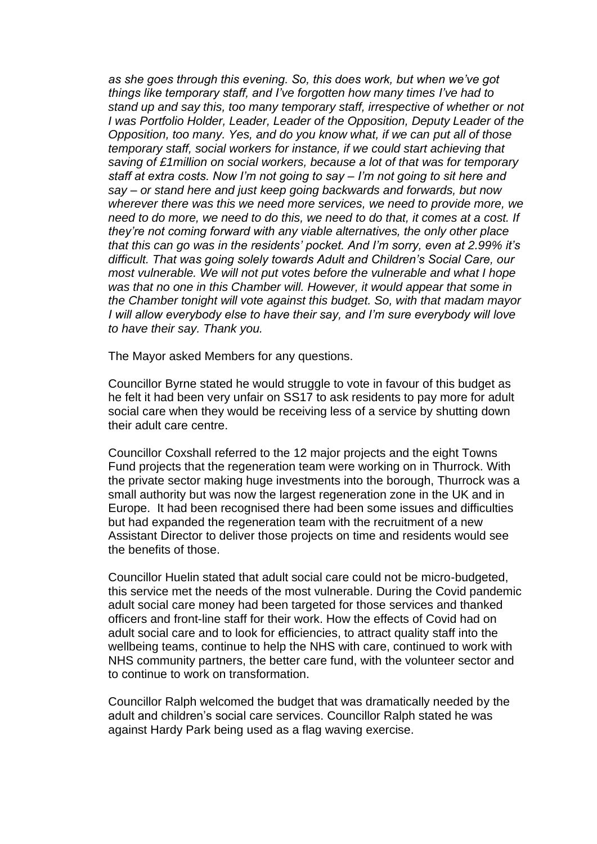*as she goes through this evening. So, this does work, but when we've got things like temporary staff, and I've forgotten how many times I've had to stand up and say this, too many temporary staff, irrespective of whether or not I was Portfolio Holder, Leader, Leader of the Opposition, Deputy Leader of the Opposition, too many. Yes, and do you know what, if we can put all of those temporary staff, social workers for instance, if we could start achieving that saving of £1million on social workers, because a lot of that was for temporary staff at extra costs. Now I'm not going to say – I'm not going to sit here and say – or stand here and just keep going backwards and forwards, but now wherever there was this we need more services, we need to provide more, we need to do more, we need to do this, we need to do that, it comes at a cost. If they're not coming forward with any viable alternatives, the only other place that this can go was in the residents' pocket. And I'm sorry, even at 2.99% it's difficult. That was going solely towards Adult and Children's Social Care, our most vulnerable. We will not put votes before the vulnerable and what I hope was that no one in this Chamber will. However, it would appear that some in the Chamber tonight will vote against this budget. So, with that madam mayor I will allow everybody else to have their say, and I'm sure everybody will love to have their say. Thank you.* 

The Mayor asked Members for any questions.

Councillor Byrne stated he would struggle to vote in favour of this budget as he felt it had been very unfair on SS17 to ask residents to pay more for adult social care when they would be receiving less of a service by shutting down their adult care centre.

Councillor Coxshall referred to the 12 major projects and the eight Towns Fund projects that the regeneration team were working on in Thurrock. With the private sector making huge investments into the borough, Thurrock was a small authority but was now the largest regeneration zone in the UK and in Europe. It had been recognised there had been some issues and difficulties but had expanded the regeneration team with the recruitment of a new Assistant Director to deliver those projects on time and residents would see the benefits of those.

Councillor Huelin stated that adult social care could not be micro-budgeted, this service met the needs of the most vulnerable. During the Covid pandemic adult social care money had been targeted for those services and thanked officers and front-line staff for their work. How the effects of Covid had on adult social care and to look for efficiencies, to attract quality staff into the wellbeing teams, continue to help the NHS with care, continued to work with NHS community partners, the better care fund, with the volunteer sector and to continue to work on transformation.

Councillor Ralph welcomed the budget that was dramatically needed by the adult and children's social care services. Councillor Ralph stated he was against Hardy Park being used as a flag waving exercise.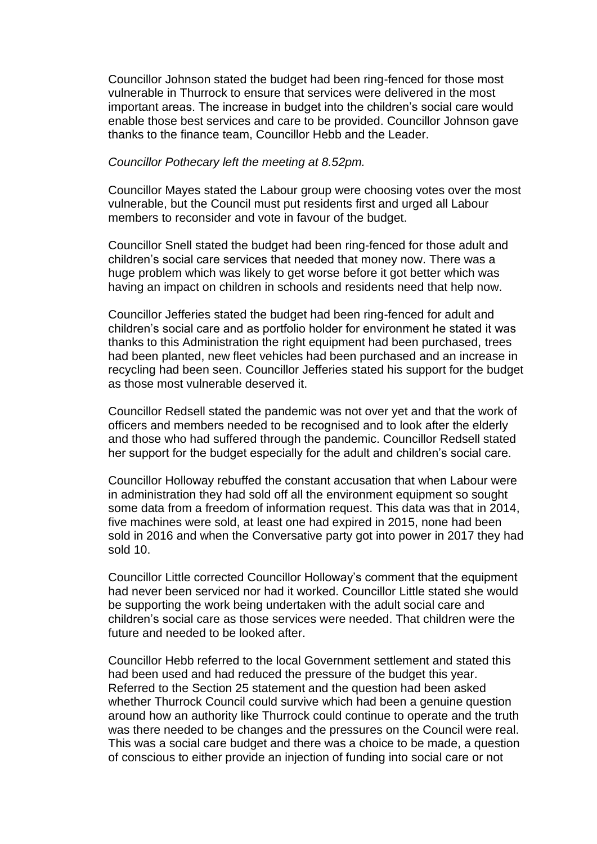Councillor Johnson stated the budget had been ring-fenced for those most vulnerable in Thurrock to ensure that services were delivered in the most important areas. The increase in budget into the children's social care would enable those best services and care to be provided. Councillor Johnson gave thanks to the finance team, Councillor Hebb and the Leader.

#### *Councillor Pothecary left the meeting at 8.52pm.*

Councillor Mayes stated the Labour group were choosing votes over the most vulnerable, but the Council must put residents first and urged all Labour members to reconsider and vote in favour of the budget.

Councillor Snell stated the budget had been ring-fenced for those adult and children's social care services that needed that money now. There was a huge problem which was likely to get worse before it got better which was having an impact on children in schools and residents need that help now.

Councillor Jefferies stated the budget had been ring-fenced for adult and children's social care and as portfolio holder for environment he stated it was thanks to this Administration the right equipment had been purchased, trees had been planted, new fleet vehicles had been purchased and an increase in recycling had been seen. Councillor Jefferies stated his support for the budget as those most vulnerable deserved it.

Councillor Redsell stated the pandemic was not over yet and that the work of officers and members needed to be recognised and to look after the elderly and those who had suffered through the pandemic. Councillor Redsell stated her support for the budget especially for the adult and children's social care.

Councillor Holloway rebuffed the constant accusation that when Labour were in administration they had sold off all the environment equipment so sought some data from a freedom of information request. This data was that in 2014, five machines were sold, at least one had expired in 2015, none had been sold in 2016 and when the Conversative party got into power in 2017 they had sold 10.

Councillor Little corrected Councillor Holloway's comment that the equipment had never been serviced nor had it worked. Councillor Little stated she would be supporting the work being undertaken with the adult social care and children's social care as those services were needed. That children were the future and needed to be looked after.

Councillor Hebb referred to the local Government settlement and stated this had been used and had reduced the pressure of the budget this year. Referred to the Section 25 statement and the question had been asked whether Thurrock Council could survive which had been a genuine question around how an authority like Thurrock could continue to operate and the truth was there needed to be changes and the pressures on the Council were real. This was a social care budget and there was a choice to be made, a question of conscious to either provide an injection of funding into social care or not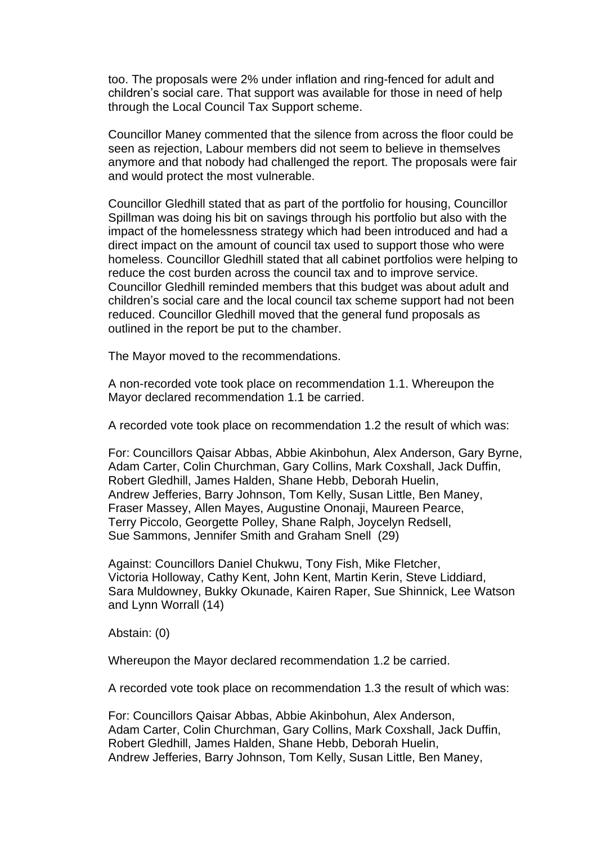too. The proposals were 2% under inflation and ring-fenced for adult and children's social care. That support was available for those in need of help through the Local Council Tax Support scheme.

Councillor Maney commented that the silence from across the floor could be seen as rejection, Labour members did not seem to believe in themselves anymore and that nobody had challenged the report. The proposals were fair and would protect the most vulnerable.

Councillor Gledhill stated that as part of the portfolio for housing, Councillor Spillman was doing his bit on savings through his portfolio but also with the impact of the homelessness strategy which had been introduced and had a direct impact on the amount of council tax used to support those who were homeless. Councillor Gledhill stated that all cabinet portfolios were helping to reduce the cost burden across the council tax and to improve service. Councillor Gledhill reminded members that this budget was about adult and children's social care and the local council tax scheme support had not been reduced. Councillor Gledhill moved that the general fund proposals as outlined in the report be put to the chamber.

The Mayor moved to the recommendations.

A non-recorded vote took place on recommendation 1.1. Whereupon the Mayor declared recommendation 1.1 be carried.

A recorded vote took place on recommendation 1.2 the result of which was:

For: Councillors Qaisar Abbas, Abbie Akinbohun, Alex Anderson, Gary Byrne, Adam Carter, Colin Churchman, Gary Collins, Mark Coxshall, Jack Duffin, Robert Gledhill, James Halden, Shane Hebb, Deborah Huelin, Andrew Jefferies, Barry Johnson, Tom Kelly, Susan Little, Ben Maney, Fraser Massey, Allen Mayes, Augustine Ononaji, Maureen Pearce, Terry Piccolo, Georgette Polley, Shane Ralph, Joycelyn Redsell, Sue Sammons, Jennifer Smith and Graham Snell (29)

Against: Councillors Daniel Chukwu, Tony Fish, Mike Fletcher, Victoria Holloway, Cathy Kent, John Kent, Martin Kerin, Steve Liddiard, Sara Muldowney, Bukky Okunade, Kairen Raper, Sue Shinnick, Lee Watson and Lynn Worrall (14)

Abstain: (0)

Whereupon the Mayor declared recommendation 1.2 be carried.

A recorded vote took place on recommendation 1.3 the result of which was:

For: Councillors Qaisar Abbas, Abbie Akinbohun, Alex Anderson, Adam Carter, Colin Churchman, Gary Collins, Mark Coxshall, Jack Duffin, Robert Gledhill, James Halden, Shane Hebb, Deborah Huelin, Andrew Jefferies, Barry Johnson, Tom Kelly, Susan Little, Ben Maney,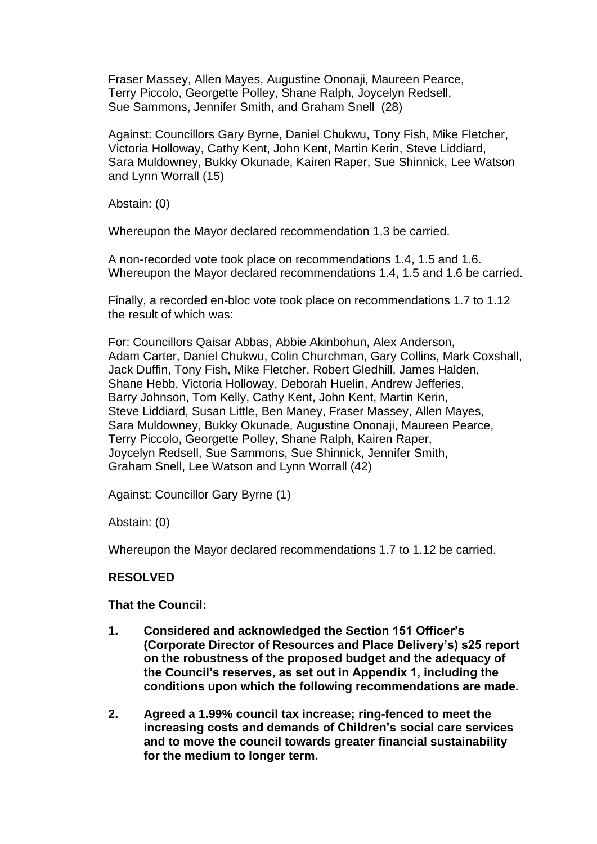Fraser Massey, Allen Mayes, Augustine Ononaji, Maureen Pearce, Terry Piccolo, Georgette Polley, Shane Ralph, Joycelyn Redsell, Sue Sammons, Jennifer Smith, and Graham Snell (28)

Against: Councillors Gary Byrne, Daniel Chukwu, Tony Fish, Mike Fletcher, Victoria Holloway, Cathy Kent, John Kent, Martin Kerin, Steve Liddiard, Sara Muldowney, Bukky Okunade, Kairen Raper, Sue Shinnick, Lee Watson and Lynn Worrall (15)

Abstain: (0)

Whereupon the Mayor declared recommendation 1.3 be carried.

A non-recorded vote took place on recommendations 1.4, 1.5 and 1.6. Whereupon the Mayor declared recommendations 1.4, 1.5 and 1.6 be carried.

Finally, a recorded en-bloc vote took place on recommendations 1.7 to 1.12 the result of which was:

For: Councillors Qaisar Abbas, Abbie Akinbohun, Alex Anderson, Adam Carter, Daniel Chukwu, Colin Churchman, Gary Collins, Mark Coxshall, Jack Duffin, Tony Fish, Mike Fletcher, Robert Gledhill, James Halden, Shane Hebb, Victoria Holloway, Deborah Huelin, Andrew Jefferies, Barry Johnson, Tom Kelly, Cathy Kent, John Kent, Martin Kerin, Steve Liddiard, Susan Little, Ben Maney, Fraser Massey, Allen Mayes, Sara Muldowney, Bukky Okunade, Augustine Ononaji, Maureen Pearce, Terry Piccolo, Georgette Polley, Shane Ralph, Kairen Raper, Joycelyn Redsell, Sue Sammons, Sue Shinnick, Jennifer Smith, Graham Snell, Lee Watson and Lynn Worrall (42)

Against: Councillor Gary Byrne (1)

Abstain: (0)

Whereupon the Mayor declared recommendations 1.7 to 1.12 be carried.

# **RESOLVED**

**That the Council:**

- **1. Considered and acknowledged the Section 151 Officer's (Corporate Director of Resources and Place Delivery's) s25 report on the robustness of the proposed budget and the adequacy of the Council's reserves, as set out in Appendix 1, including the conditions upon which the following recommendations are made.**
- **2. Agreed a 1.99% council tax increase; ring-fenced to meet the increasing costs and demands of Children's social care services and to move the council towards greater financial sustainability for the medium to longer term.**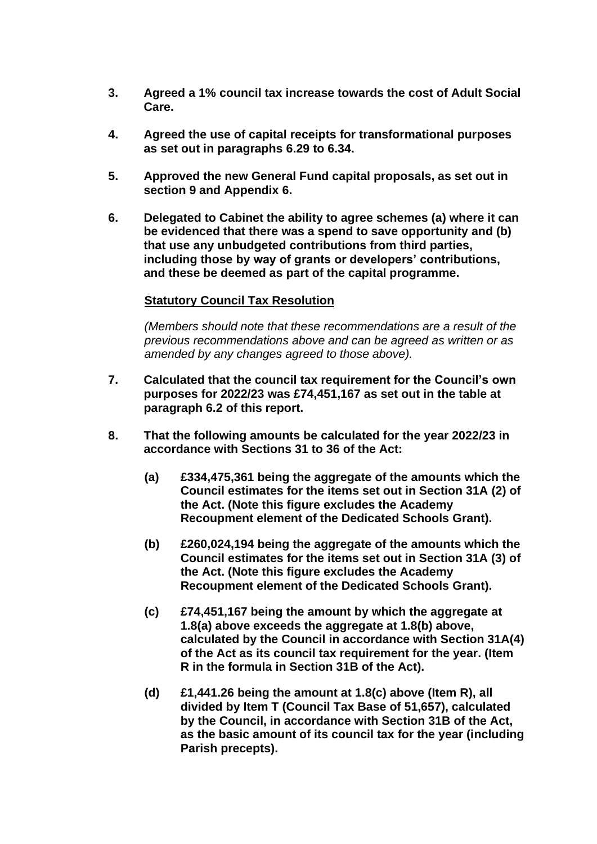- **3. Agreed a 1% council tax increase towards the cost of Adult Social Care.**
- **4. Agreed the use of capital receipts for transformational purposes as set out in paragraphs 6.29 to 6.34.**
- **5. Approved the new General Fund capital proposals, as set out in section 9 and Appendix 6.**
- **6. Delegated to Cabinet the ability to agree schemes (a) where it can be evidenced that there was a spend to save opportunity and (b) that use any unbudgeted contributions from third parties, including those by way of grants or developers' contributions, and these be deemed as part of the capital programme.**

# **Statutory Council Tax Resolution**

*(Members should note that these recommendations are a result of the previous recommendations above and can be agreed as written or as amended by any changes agreed to those above).*

- **7. Calculated that the council tax requirement for the Council's own purposes for 2022/23 was £74,451,167 as set out in the table at paragraph 6.2 of this report.**
- **8. That the following amounts be calculated for the year 2022/23 in accordance with Sections 31 to 36 of the Act:**
	- **(a) £334,475,361 being the aggregate of the amounts which the Council estimates for the items set out in Section 31A (2) of the Act. (Note this figure excludes the Academy Recoupment element of the Dedicated Schools Grant).**
	- **(b) £260,024,194 being the aggregate of the amounts which the Council estimates for the items set out in Section 31A (3) of the Act. (Note this figure excludes the Academy Recoupment element of the Dedicated Schools Grant).**
	- **(c) £74,451,167 being the amount by which the aggregate at 1.8(a) above exceeds the aggregate at 1.8(b) above, calculated by the Council in accordance with Section 31A(4) of the Act as its council tax requirement for the year. (Item R in the formula in Section 31B of the Act).**
	- **(d) £1,441.26 being the amount at 1.8(c) above (Item R), all divided by Item T (Council Tax Base of 51,657), calculated by the Council, in accordance with Section 31B of the Act, as the basic amount of its council tax for the year (including Parish precepts).**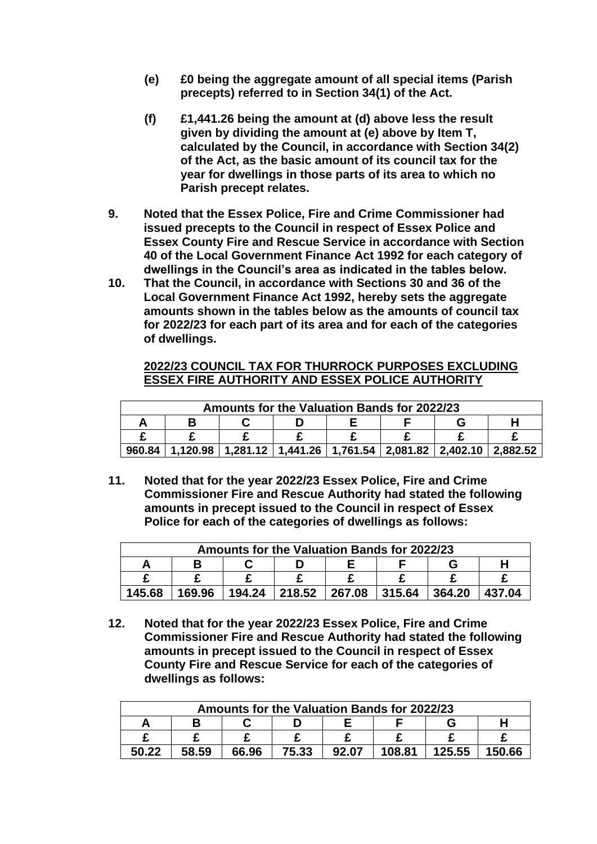- **(e) £0 being the aggregate amount of all special items (Parish precepts) referred to in Section 34(1) of the Act.**
- **(f) £1,441.26 being the amount at (d) above less the result given by dividing the amount at (e) above by Item T, calculated by the Council, in accordance with Section 34(2) of the Act, as the basic amount of its council tax for the year for dwellings in those parts of its area to which no Parish precept relates.**
- **9. Noted that the Essex Police, Fire and Crime Commissioner had issued precepts to the Council in respect of Essex Police and Essex County Fire and Rescue Service in accordance with Section 40 of the Local Government Finance Act 1992 for each category of dwellings in the Council's area as indicated in the tables below.**
- **10. That the Council, in accordance with Sections 30 and 36 of the Local Government Finance Act 1992, hereby sets the aggregate amounts shown in the tables below as the amounts of council tax for 2022/23 for each part of its area and for each of the categories of dwellings.**

# **2022/23 COUNCIL TAX FOR THURROCK PURPOSES EXCLUDING ESSEX FIRE AUTHORITY AND ESSEX POLICE AUTHORITY**

| <b>Amounts for the Valuation Bands for 2022/23</b> |  |  |                                                                              |  |  |  |  |  |
|----------------------------------------------------|--|--|------------------------------------------------------------------------------|--|--|--|--|--|
|                                                    |  |  |                                                                              |  |  |  |  |  |
|                                                    |  |  |                                                                              |  |  |  |  |  |
| 960.84                                             |  |  | $1,120.98$   1,281.12   1,441.26   1,761.54   2,081.82   2,402.10   2,882.52 |  |  |  |  |  |

**11. Noted that for the year 2022/23 Essex Police, Fire and Crime Commissioner Fire and Rescue Authority had stated the following amounts in precept issued to the Council in respect of Essex Police for each of the categories of dwellings as follows:**

| <b>Amounts for the Valuation Bands for 2022/23</b> |  |                                            |  |  |  |        |        |
|----------------------------------------------------|--|--------------------------------------------|--|--|--|--------|--------|
|                                                    |  |                                            |  |  |  |        |        |
|                                                    |  |                                            |  |  |  |        |        |
| 145.68                                             |  | 169.96   194.24   218.52   267.08   315.64 |  |  |  | 364.20 | 437.04 |

**12. Noted that for the year 2022/23 Essex Police, Fire and Crime Commissioner Fire and Rescue Authority had stated the following amounts in precept issued to the Council in respect of Essex County Fire and Rescue Service for each of the categories of dwellings as follows:** 

| Amounts for the Valuation Bands for 2022/23 |       |       |       |       |        |        |        |
|---------------------------------------------|-------|-------|-------|-------|--------|--------|--------|
|                                             |       |       |       |       |        |        |        |
|                                             |       |       |       |       |        |        |        |
| 50.22                                       | 58.59 | 66.96 | 75.33 | 92.07 | 108.81 | 125.55 | 150.66 |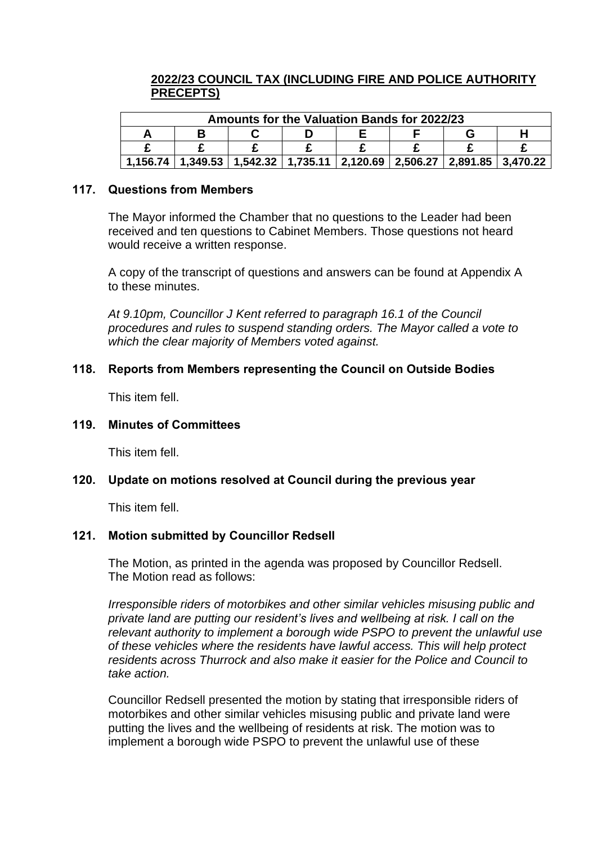# **2022/23 COUNCIL TAX (INCLUDING FIRE AND POLICE AUTHORITY PRECEPTS)**

| <b>Amounts for the Valuation Bands for 2022/23</b> |  |  |  |  |                                                                                          |  |  |
|----------------------------------------------------|--|--|--|--|------------------------------------------------------------------------------------------|--|--|
|                                                    |  |  |  |  |                                                                                          |  |  |
|                                                    |  |  |  |  |                                                                                          |  |  |
| 1.156.74                                           |  |  |  |  | $1,349.53$   $1,542.32$   $1,735.11$   $2,120.69$   $2,506.27$   $2,891.85$   $3,470.22$ |  |  |

### **117. Questions from Members**

The Mayor informed the Chamber that no questions to the Leader had been received and ten questions to Cabinet Members. Those questions not heard would receive a written response.

A copy of the transcript of questions and answers can be found at Appendix A to these minutes.

*At 9.10pm, Councillor J Kent referred to paragraph 16.1 of the Council procedures and rules to suspend standing orders. The Mayor called a vote to which the clear majority of Members voted against.*

# **118. Reports from Members representing the Council on Outside Bodies**

This item fell.

### **119. Minutes of Committees**

This item fell.

# **120. Update on motions resolved at Council during the previous year**

This item fell.

# **121. Motion submitted by Councillor Redsell**

The Motion, as printed in the agenda was proposed by Councillor Redsell. The Motion read as follows:

*Irresponsible riders of motorbikes and other similar vehicles misusing public and private land are putting our resident's lives and wellbeing at risk. I call on the relevant authority to implement a borough wide PSPO to prevent the unlawful use of these vehicles where the residents have lawful access. This will help protect residents across Thurrock and also make it easier for the Police and Council to take action.*

Councillor Redsell presented the motion by stating that irresponsible riders of motorbikes and other similar vehicles misusing public and private land were putting the lives and the wellbeing of residents at risk. The motion was to implement a borough wide PSPO to prevent the unlawful use of these